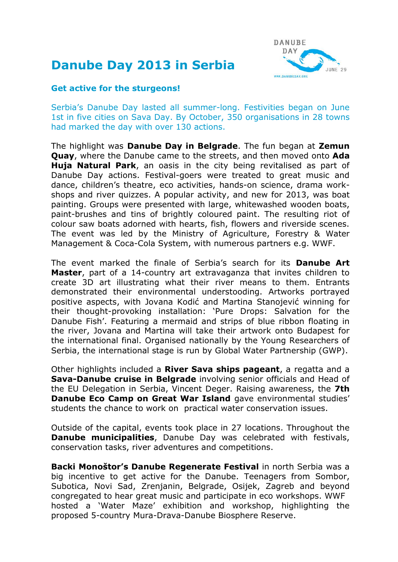## **Danube Day 2013 in Serbia**



## **Get active for the sturgeons!**

Serbia's Danube Day lasted all summer-long. Festivities began on June 1st in five cities on Sava Day. By October, 350 organisations in 28 towns had marked the day with over 130 actions.

The highlight was **Danube Day in Belgrade**. The fun began at **Zemun Quay**, where the Danube came to the streets, and then moved onto **Ada Huja Natural Park**, an oasis in the city being revitalised as part of Danube Day actions. Festival-goers were treated to great music and dance, children's theatre, eco activities, hands-on science, drama workshops and river quizzes. A popular activity, and new for 2013, was boat painting. Groups were presented with large, whitewashed wooden boats, paint-brushes and tins of brightly coloured paint. The resulting riot of colour saw boats adorned with hearts, fish, flowers and riverside scenes. The event was led by the Ministry of Agriculture, Forestry & Water Management & Coca-Cola System, with numerous partners e.g. WWF.

The event marked the finale of Serbia's search for its **Danube Art Master**, part of a 14-country art extravaganza that invites children to create 3D art illustrating what their river means to them. Entrants demonstrated their environmental understooding. Artworks portrayed positive aspects, with Jovana Kodić and Martina Stanojević winning for their thought-provoking installation: 'Pure Drops: Salvation for the Danube Fish'. Featuring a mermaid and strips of blue ribbon floating in the river, Jovana and Martina will take their artwork onto Budapest for the international final. Organised nationally by the Young Researchers of Serbia, the international stage is run by Global Water Partnership (GWP).

Other highlights included a **River Sava ships pageant**, a regatta and a **Sava-Danube cruise in Belgrade** involving senior officials and Head of the EU Delegation in Serbia, Vincent Deger. Raising awareness, the **7th Danube Eco Camp on Great War Island** gave environmental studies' students the chance to work on practical water conservation issues.

Outside of the capital, events took place in 27 locations. Throughout the **Danube municipalities**, Danube Day was celebrated with festivals, conservation tasks, river adventures and competitions.

**Backi Monoštor's Danube Regenerate Festival** in north Serbia was a big incentive to get active for the Danube. Teenagers from Sombor, Subotica, Novi Sad, Zrenjanin, Belgrade, Osijek, Zagreb and beyond congregated to hear great music and participate in eco workshops. WWF hosted a 'Water Maze' exhibition and workshop, highlighting the proposed 5-country Mura-Drava-Danube Biosphere Reserve.